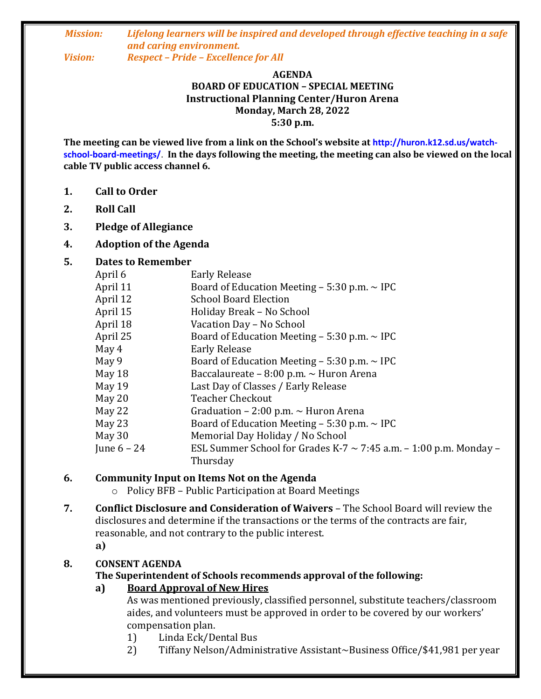# *Mission: Lifelong learners will be inspired and developed through effective teaching in a safe and caring environment.*

*Vision: Respect – Pride – Excellence for All*

#### **AGENDA BOARD OF EDUCATION – SPECIAL MEETING Instructional Planning Center/Huron Arena Monday, March 28, 2022 5:30 p.m.**

**The meeting can be viewed live from a link on the School's website at http://huron.k12.sd.us/watchschool-board-meetings/**. **In the days following the meeting, the meeting can also be viewed on the local cable TV public access channel 6.**

- **1. Call to Order**
- **2. Roll Call**
- **3. Pledge of Allegiance**
- **4. Adoption of the Agenda**

#### **5. Dates to Remember**

| April 6       | <b>Early Release</b>                                                   |
|---------------|------------------------------------------------------------------------|
| April 11      | Board of Education Meeting $-5:30$ p.m. $\sim$ IPC                     |
| April 12      | <b>School Board Election</b>                                           |
| April 15      | Holiday Break - No School                                              |
| April 18      | Vacation Day - No School                                               |
| April 25      | Board of Education Meeting $-$ 5:30 p.m. $\sim$ IPC                    |
| May 4         | <b>Early Release</b>                                                   |
| May 9         | Board of Education Meeting $-$ 5:30 p.m. $\sim$ IPC                    |
| May 18        | Baccalaureate - 8:00 p.m. ~ Huron Arena                                |
| May 19        | Last Day of Classes / Early Release                                    |
| May 20        | <b>Teacher Checkout</b>                                                |
| May 22        | Graduation – 2:00 p.m. $\sim$ Huron Arena                              |
| May 23        | Board of Education Meeting $-$ 5:30 p.m. $\sim$ IPC                    |
| May 30        | Memorial Day Holiday / No School                                       |
| June $6 - 24$ | ESL Summer School for Grades K-7 $\sim$ 7:45 a.m. – 1:00 p.m. Monday – |
|               | Thursday                                                               |

#### **6. Community Input on Items Not on the Agenda**

- o Policy BFB Public Participation at Board Meetings
- **7. Conflict Disclosure and Consideration of Waivers**  The School Board will review the disclosures and determine if the transactions or the terms of the contracts are fair, reasonable, and not contrary to the public interest. **a)**

#### **8. CONSENT AGENDA**

#### **The Superintendent of Schools recommends approval of the following:**

#### **a) Board Approval of New Hires**

As was mentioned previously, classified personnel, substitute teachers/classroom aides, and volunteers must be approved in order to be covered by our workers' compensation plan.

- 1) Linda Eck/Dental Bus
- 2) Tiffany Nelson/Administrative Assistant~Business Office/\$41,981 per year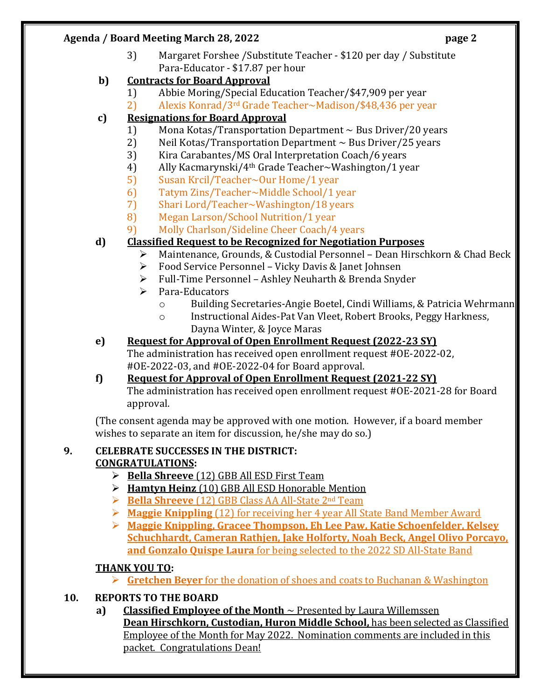#### **Agenda / Board Meeting March 28, 2022 page 2**

3) Margaret Forshee /Substitute Teacher - \$120 per day / Substitute Para-Educator - \$17.87 per hour

## **b) Contracts for Board Approval**

- 1) Abbie Moring/Special Education Teacher/\$47,909 per year
- 2) Alexis Konrad/3rd Grade Teacher~Madison/\$48,436 per year

# **c) Resignations for Board Approval**

- 1) Mona Kotas/Transportation Department ~ Bus Driver/20 years
- 2) Neil Kotas/Transportation Department  $\sim$  Bus Driver/25 years
- 3) Kira Carabantes/MS Oral Interpretation Coach/6 years
- 4) Ally Kacmarynski/4th Grade Teacher~Washington/1 year
- 5) Susan Krcil/Teacher~Our Home/1 year
- 6) Tatym Zins/Teacher~Middle School/1 year
- 7) Shari Lord/Teacher~Washington/18 years
- 8) Megan Larson/School Nutrition/1 year
- 9) Molly Charlson/Sideline Cheer Coach/4 years

# **d) Classified Request to be Recognized for Negotiation Purposes**

- Maintenance, Grounds, & Custodial Personnel Dean Hirschkorn & Chad Beck
- Food Service Personnel Vicky Davis & Janet Johnsen
- Full-Time Personnel Ashley Neuharth & Brenda Snyder
- > Para-Educators
	- o Building Secretaries-Angie Boetel, Cindi Williams, & Patricia Wehrmann
	- o Instructional Aides-Pat Van Vleet, Robert Brooks, Peggy Harkness, Dayna Winter, & Joyce Maras

# **e) Request for Approval of Open Enrollment Request (2022-23 SY)**

The administration has received open enrollment request #OE-2022-02, #OE-2022-03, and #OE-2022-04 for Board approval.

# **f) Request for Approval of Open Enrollment Request (2021-22 SY)**

The administration has received open enrollment request #OE-2021-28 for Board approval.

(The consent agenda may be approved with one motion. However, if a board member wishes to separate an item for discussion, he/she may do so.)

# **9. CELEBRATE SUCCESSES IN THE DISTRICT:**

# **CONGRATULATIONS:**

- **Bella Shreeve** (12) GBB All ESD First Team
- **Hamtyn Heinz** (10) GBB All ESD Honorable Mention
- **Bella Shreeve** (12) GBB Class AA All-State 2nd Team
- **Maggie Knippling** (12) for receiving her 4 year All State Band Member Award
- **Maggie Knippling, Gracee Thompson, Eh Lee Paw, Katie Schoenfelder, Kelsey Schuchhardt, Cameran Rathjen, Jake Holforty, Noah Beck, Angel Olivo Porcayo, and Gonzalo Quispe Laura** for being selected to the 2022 SD All-State Band

# **THANK YOU TO:**

- **Gretchen Beyer** for the donation of shoes and coats to Buchanan & Washington
- **10. REPORTS TO THE BOARD**
	- **a) Classified Employee of the Month** ~ Presented by Laura Willemssen

**Dean Hirschkorn, Custodian, Huron Middle School,** has been selected as Classified Employee of the Month for May 2022. Nomination comments are included in this packet. Congratulations Dean!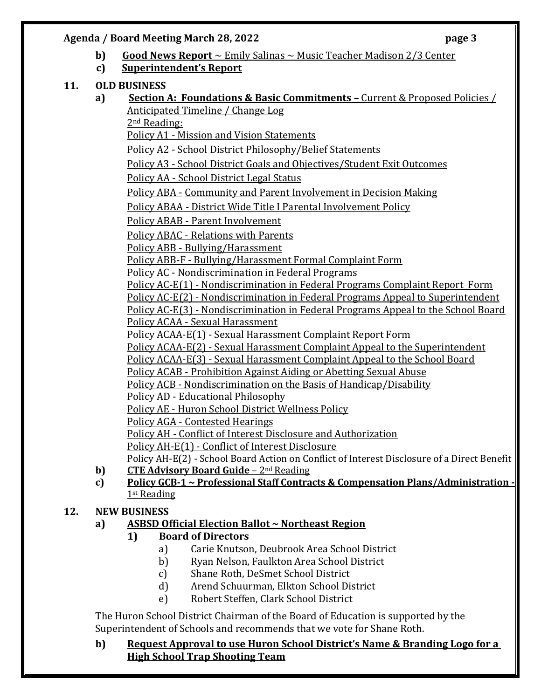#### **Agenda / Board Meeting March 28, 2022 page 3**

- **b) Good News Report** ~ Emily Salinas ~ Music Teacher Madison 2/3 Center
- **c) Superintendent's Report**

## **11. OLD BUSINESS**

**a) Section A: Foundations & Basic Commitments –** Current & Proposed Policies / Anticipated Timeline / Change Log

2nd Reading:

Policy A1 - Mission and Vision Statements

Policy A2 - School District Philosophy/Belief Statements

Policy A3 - School District Goals and Objectives/Student Exit Outcomes

Policy AA - School District Legal Status

Policy ABA - Community and Parent Involvement in Decision Making

Policy ABAA - District Wide Title I Parental Involvement Policy

Policy ABAB - Parent Involvement

Policy ABAC - Relations with Parents

Policy ABB - Bullying/Harassment

Policy ABB-F - Bullying/Harassment Formal Complaint Form

Policy AC - Nondiscrimination in Federal Programs

Policy AC-E(1) - Nondiscrimination in Federal Programs Complaint Report Form

Policy AC-E(2) - Nondiscrimination in Federal Programs Appeal to Superintendent

Policy AC-E(3) - Nondiscrimination in Federal Programs Appeal to the School Board Policy ACAA - Sexual Harassment

Policy ACAA-E(1) - Sexual Harassment Complaint Report Form

Policy ACAA-E(2) - Sexual Harassment Complaint Appeal to the Superintendent

Policy ACAA-E(3) - Sexual Harassment Complaint Appeal to the School Board

Policy ACAB - Prohibition Against Aiding or Abetting Sexual Abuse

Policy ACB - Nondiscrimination on the Basis of Handicap/Disability

Policy AD - Educational Philosophy

Policy AE - Huron School District Wellness Policy

Policy AGA - Contested Hearings

Policy AH - Conflict of Interest Disclosure and Authorization

Policy AH-E(1) - Conflict of Interest Disclosure

Policy AH-E(2) - School Board Action on Conflict of Interest Disclosure of a Direct Benefit

- **b) CTE Advisory Board Guide** 2<sup>nd</sup> Reading
- **c) Policy GCB-1 ~ Professional Staff Contracts & Compensation Plans/Administration -** 1<sup>st</sup> Reading

# **12. NEW BUSINESS**

# **a) ASBSD Official Election Ballot ~ Northeast Region**

- **1) Board of Directors**
	- a) Carie Knutson, Deubrook Area School District
	- b) Ryan Nelson, Faulkton Area School District
	- c) Shane Roth, DeSmet School District
	- d) Arend Schuurman, Elkton School District
	- e) Robert Steffen, Clark School District

The Huron School District Chairman of the Board of Education is supported by the Superintendent of Schools and recommends that we vote for Shane Roth.

## **b) Request Approval to use Huron School District's Name & Branding Logo for a High School Trap Shooting Team**